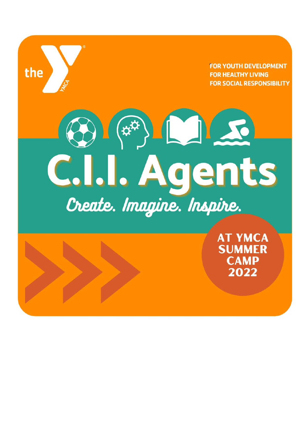**FOR YOUTH DEVELOPMENT FOR HEALTHY LIVING FOR SOCIAL RESPONSIBILITY** 

# $\left(\bigoplus_{\mathfrak{P}}\left(\mathfrak{P}^{\mathfrak{P}}\right)\right)$   $\left(\bigoplus_{\mathfrak{P}}\left(\mathfrak{P}^{\mathfrak{P}}\right)\right)$ C.I.I. Agents

the

**AT YMCA SUMMER CAMP** 2022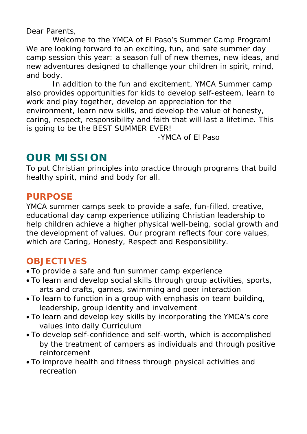Dear Parents,

Welcome to the YMCA of El Paso's Summer Camp Program! We are looking forward to an exciting, fun, and safe summer day camp session this year: a season full of new themes, new ideas, and new adventures designed to challenge your children in spirit, mind, and body.

In addition to the fun and excitement, YMCA Summer camp also provides opportunities for kids to develop self-esteem, learn to work and play together, develop an appreciation for the environment, learn new skills, and develop the value of honesty, caring, respect, responsibility and faith that will last a lifetime. This is going to be the BEST SUMMER EVER!

-YMCA of El Paso

## **OUR MISSION**

To put Christian principles into practice through programs that build healthy spirit, mind and body for all.

#### **PURPOSE**

YMCA summer camps seek to provide a safe, fun-filled, creative, educational day camp experience utilizing Christian leadership to help children achieve a higher physical well-being, social growth and the development of values. Our program reflects four core values, which are Caring, Honesty, Respect and Responsibility.

#### **OBJECTIVES**

- To provide a safe and fun summer camp experience
- To learn and develop social skills through group activities, sports, arts and crafts, games, swimming and peer interaction
- To learn to function in a group with emphasis on team building, leadership, group identity and involvement
- To learn and develop key skills by incorporating the YMCA's core values into daily Curriculum
- To develop self-confidence and self-worth, which is accomplished by the treatment of campers as individuals and through positive reinforcement
- To improve health and fitness through physical activities and recreation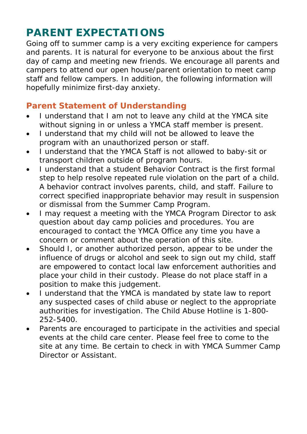## **PARENT EXPECTATIONS**

Going off to summer camp is a very exciting experience for campers and parents. It is natural for everyone to be anxious about the first day of camp and meeting new friends. We encourage all parents and campers to attend our open house/parent orientation to meet camp staff and fellow campers. In addition, the following information will hopefully minimize first-day anxiety.

#### **Parent Statement of Understanding**

- I understand that I am not to leave any child at the YMCA site without signing in or unless a YMCA staff member is present.
- I understand that my child will not be allowed to leave the program with an unauthorized person or staff.
- I understand that the YMCA Staff is not allowed to baby-sit or transport children outside of program hours.
- I understand that a student Behavior Contract is the first formal step to help resolve repeated rule violation on the part of a child. A behavior contract involves parents, child, and staff. Failure to correct specified inappropriate behavior may result in suspension or dismissal from the Summer Camp Program.
- I may request a meeting with the YMCA Program Director to ask question about day camp policies and procedures. You are encouraged to contact the YMCA Office any time you have a concern or comment about the operation of this site.
- Should I, or another authorized person, appear to be under the influence of drugs or alcohol and seek to sign out my child, staff are empowered to contact local law enforcement authorities and place your child in their custody. Please do not place staff in a position to make this judgement.
- I understand that the YMCA is mandated by state law to report any suspected cases of child abuse or neglect to the appropriate authorities for investigation. The Child Abuse Hotline is 1-800- 252-5400.
- Parents are encouraged to participate in the activities and special events at the child care center. Please feel free to come to the site at any time. Be certain to check in with YMCA Summer Camp Director or Assistant.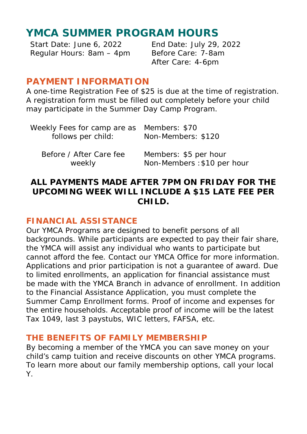## **YMCA SUMMER PROGRAM HOURS**

Regular Hours: 8am - 4pm Before Care: 7-8am

Start Date: June 6, 2022 End Date: July 29, 2022 After Care: 4-6pm

#### **PAYMENT INFORMATION**

A one-time Registration Fee of \$25 is due at the time of registration. A registration form must be filled out completely before your child may participate in the Summer Day Camp Program.

| Weekly Fees for camp are as Members: \$70<br>follows per child: | Non-Members: \$120          |
|-----------------------------------------------------------------|-----------------------------|
| Before / After Care fee                                         | Members: \$5 per hour       |
| weekly                                                          | Non-Members : \$10 per hour |

#### **ALL PAYMENTS MADE AFTER 7PM ON FRIDAY FOR THE UPCOMING WEEK WILL INCLUDE A \$15 LATE FEE PER CHILD.**

#### **FINANCIAL ASSISTANCE**

Our YMCA Programs are designed to benefit persons of all backgrounds. While participants are expected to pay their fair share, the YMCA will assist any individual who wants to participate but cannot afford the fee. Contact our YMCA Office for more information. Applications and prior participation is not a guarantee of award. Due to limited enrollments, an application for financial assistance must be made with the YMCA Branch in advance of enrollment. In addition to the Financial Assistance Application, you must complete the Summer Camp Enrollment forms. Proof of income and expenses for the entire households. Acceptable proof of income will be the latest Tax 1049, last 3 paystubs, WIC letters, FAFSA, etc.

#### **THE BENEFITS OF FAMILY MEMBERSHIP**

By becoming a member of the YMCA you can save money on your child's camp tuition and receive discounts on other YMCA programs. To learn more about our family membership options, call your local Y.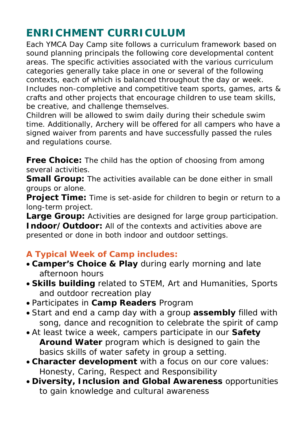## **ENRICHMENT CURRICULUM**

Each YMCA Day Camp site follows a curriculum framework based on sound planning principals the following core developmental content areas. The specific activities associated with the various curriculum categories generally take place in one or several of the following contexts, each of which is balanced throughout the day or week. Includes non-completive and competitive team sports, games, arts & crafts and other projects that encourage children to use team skills, be creative, and challenge themselves.

Children will be allowed to swim daily during their schedule swim time. Additionally, Archery will be offered for all campers who have a signed waiver from parents and have successfully passed the rules and regulations course.

**Free Choice:** The child has the option of choosing from among several activities.

**Small Group:** The activities available can be done either in small groups or alone.

**Project Time:** Time is set-aside for children to begin or return to a long-term project.

**Large Group:** Activities are designed for large group participation. **Indoor/Outdoor:** All of the contexts and activities above are presented or done in both indoor and outdoor settings.

#### **A Typical Week of Camp includes:**

- **Camper's Choice & Play** during early morning and late afternoon hours
- **Skills building** related to STEM, Art and Humanities, Sports and outdoor recreation play
- Participates in **Camp Readers** Program
- Start and end a camp day with a group **assembly** filled with song, dance and recognition to celebrate the spirit of camp
- At least twice a week, campers participate in our **Safety Around Water** program which is designed to gain the basics skills of water safety in group a setting.
- **Character development** with a focus on our core values: Honesty, Caring, Respect and Responsibility
- **Diversity, Inclusion and Global Awareness** opportunities to gain knowledge and cultural awareness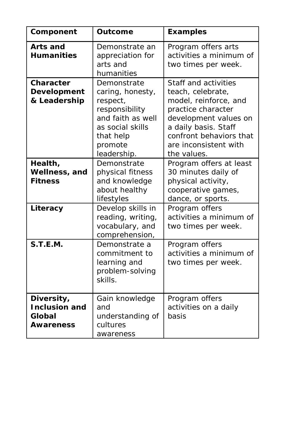| Component                                                 | Outcome                                                                                                                                       | <b>Examples</b>                                                                                                                                                                                              |
|-----------------------------------------------------------|-----------------------------------------------------------------------------------------------------------------------------------------------|--------------------------------------------------------------------------------------------------------------------------------------------------------------------------------------------------------------|
| Arts and<br><b>Humanities</b>                             | Demonstrate an<br>appreciation for<br>arts and<br>humanities                                                                                  | Program offers arts<br>activities a minimum of<br>two times per week.                                                                                                                                        |
| Character<br><b>Development</b><br>& Leadership           | Demonstrate<br>caring, honesty,<br>respect,<br>responsibility<br>and faith as well<br>as social skills<br>that help<br>promote<br>leadership. | Staff and activities<br>teach, celebrate,<br>model, reinforce, and<br>practice character<br>development values on<br>a daily basis. Staff<br>confront behaviors that<br>are inconsistent with<br>the values. |
| Health,<br>Wellness, and<br><b>Fitness</b>                | Demonstrate<br>physical fitness<br>and knowledge<br>about healthy<br>lifestyles                                                               | Program offers at least<br>30 minutes daily of<br>physical activity,<br>cooperative games,<br>dance, or sports.                                                                                              |
| Literacy                                                  | Develop skills in<br>reading, writing,<br>vocabulary, and<br>comprehension,                                                                   | Program offers<br>activities a minimum of<br>two times per week.                                                                                                                                             |
| S.T.E.M.                                                  | Demonstrate a<br>commitment to<br>learning and<br>problem-solving<br>skills.                                                                  | Program offers<br>activities a minimum of<br>two times per week.                                                                                                                                             |
| Diversity,<br><b>Inclusion and</b><br>Global<br>Awareness | Gain knowledge<br>and<br>understanding of<br>cultures<br>awareness                                                                            | Program offers<br>activities on a daily<br>hasis                                                                                                                                                             |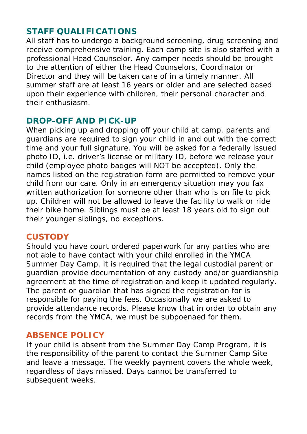#### **STAFF QUALIFICATIONS**

All staff has to undergo a background screening, drug screening and receive comprehensive training. Each camp site is also staffed with a professional Head Counselor. Any camper needs should be brought to the attention of either the Head Counselors, Coordinator or Director and they will be taken care of in a timely manner. All summer staff are at least 16 years or older and are selected based upon their experience with children, their personal character and their enthusiasm.

#### **DROP-OFF AND PICK-UP**

When picking up and dropping off your child at camp, parents and guardians are required to sign your child in and out with the correct time and your full signature. You will be asked for a federally issued photo ID, i.e. driver's license or military ID, before we release your child (employee photo badges will NOT be accepted). Only the names listed on the registration form are permitted to remove your child from our care. Only in an emergency situation may you fax written authorization for someone other than who is on file to pick up. Children will not be allowed to leave the facility to walk or ride their bike home. Siblings must be at least 18 years old to sign out their younger siblings, no exceptions.

#### **CUSTODY**

Should you have court ordered paperwork for any parties who are not able to have contact with your child enrolled in the YMCA Summer Day Camp, it is required that the legal custodial parent or guardian provide documentation of any custody and/or guardianship agreement at the time of registration and keep it updated regularly. The parent or guardian that has signed the registration for is responsible for paying the fees. Occasionally we are asked to provide attendance records. Please know that in order to obtain any records from the YMCA, we must be subpoenaed for them.

#### **ABSENCE POLICY**

If your child is absent from the Summer Day Camp Program, it is the responsibility of the parent to contact the Summer Camp Site and leave a message. The weekly payment covers the whole week, regardless of days missed. Days cannot be transferred to subsequent weeks.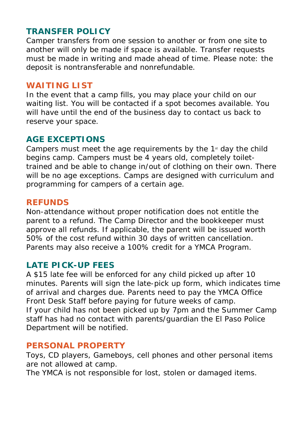#### **TRANSFER POLICY**

Camper transfers from one session to another or from one site to another will only be made if space is available. Transfer requests must be made in writing and made ahead of time. Please note: the deposit is nontransferable and nonrefundable.

#### **WAITING LIST**

In the event that a camp fills, you may place your child on our waiting list. You will be contacted if a spot becomes available. You will have until the end of the business day to contact us back to reserve your space.

#### **AGE EXCEPTIONS**

Campers must meet the age requirements by the  $1<sup>st</sup>$  day the child begins camp. Campers must be 4 years old, completely toilettrained and be able to change in/out of clothing on their own. There will be no age exceptions. Camps are designed with curriculum and programming for campers of a certain age.

#### **REFUNDS**

Non-attendance without proper notification does not entitle the parent to a refund. The Camp Director and the bookkeeper must approve all refunds. If applicable, the parent will be issued worth 50% of the cost refund within 30 days of written cancellation. Parents may also receive a 100% credit for a YMCA Program.

#### **LATE PICK-UP FEES**

A \$15 late fee will be enforced for any child picked up after 10 minutes. Parents will sign the late-pick up form, which indicates time of arrival and charges due. Parents need to pay the YMCA Office Front Desk Staff before paying for future weeks of camp. If your child has not been picked up by 7pm and the Summer Camp staff has had no contact with parents/guardian the El Paso Police Department will be notified.

#### **PERSONAL PROPERTY**

Toys, CD players, Gameboys, cell phones and other personal items are not allowed at camp.

The YMCA is not responsible for lost, stolen or damaged items.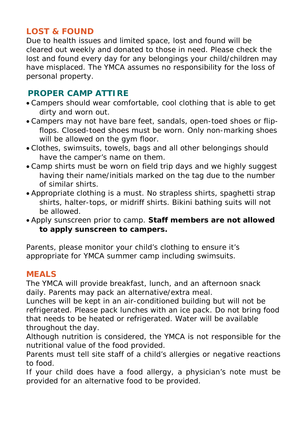#### **LOST & FOUND**

Due to health issues and limited space, lost and found will be cleared out weekly and donated to those in need. Please check the lost and found every day for any belongings your child/children may have misplaced. The YMCA assumes no responsibility for the loss of personal property.

#### **PROPER CAMP ATTIRE**

- Campers should wear comfortable, cool clothing that is able to get dirty and worn out.
- Campers may not have bare feet, sandals, open-toed shoes or flipflops. Closed-toed shoes must be worn. Only non-marking shoes will be allowed on the gym floor.
- Clothes, swimsuits, towels, bags and all other belongings should have the camper's name on them.
- Camp shirts must be worn on field trip days and we highly suggest having their name/initials marked on the tag due to the number of similar shirts.
- Appropriate clothing is a must. No strapless shirts, spaghetti strap shirts, halter-tops, or midriff shirts. Bikini bathing suits will not be allowed.
- Apply sunscreen prior to camp. **Staff members are not allowed to apply sunscreen to campers.**

Parents, please monitor your child's clothing to ensure it's appropriate for YMCA summer camp including swimsuits.

#### **MEALS**

The YMCA will provide breakfast, lunch, and an afternoon snack daily. Parents may pack an alternative/extra meal.

Lunches will be kept in an air-conditioned building but will not be refrigerated. Please pack lunches with an ice pack. Do not bring food that needs to be heated or refrigerated. Water will be available throughout the day.

Although nutrition is considered, the YMCA is not responsible for the nutritional value of the food provided.

Parents must tell site staff of a child's allergies or negative reactions to food.

If your child does have a food allergy, a physician's note must be provided for an alternative food to be provided.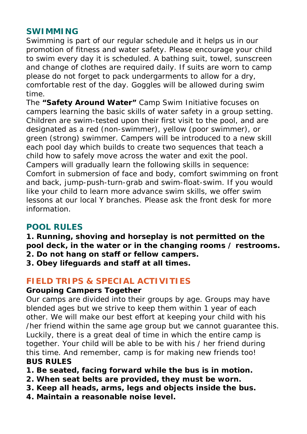#### **SWIMMING**

Swimming is part of our regular schedule and it helps us in our promotion of fitness and water safety. Please encourage your child to swim every day it is scheduled. A bathing suit, towel, sunscreen and change of clothes are required daily. If suits are worn to camp please do not forget to pack undergarments to allow for a dry, comfortable rest of the day. Goggles will be allowed during swim time.

The **"Safety Around Water"** Camp Swim Initiative focuses on campers learning the basic skills of water safety in a group setting. Children are swim-tested upon their first visit to the pool, and are designated as a red (non-swimmer), yellow (poor swimmer), or green (strong) swimmer. Campers will be introduced to a new skill each pool day which builds to create two sequences that teach a child how to safely move across the water and exit the pool. Campers will gradually learn the following skills in sequence: Comfort in submersion of face and body, comfort swimming on front and back, jump-push-turn-grab and swim-float-swim. If you would like your child to learn more advance swim skills, we offer swim lessons at our local Y branches. Please ask the front desk for more information.

#### **POOL RULES**

**1. Running, shoving and horseplay is not permitted on the pool deck, in the water or in the changing rooms / restrooms.**

- **2. Do not hang on staff or fellow campers.**
- **3. Obey lifeguards and staff at all times.**

#### **FIELD TRIPS & SPECIAL ACTIVITIES**

#### **Grouping Campers Together**

Our camps are divided into their groups by age. Groups may have blended ages but we strive to keep them within 1 year of each other. We will make our best effort at keeping your child with his /her friend within the same age group but we cannot guarantee this. Luckily, there is a great deal of time in which the entire camp is together. Your child will be able to be with his / her friend during this time. And remember, camp is for making new friends too! **BUS RULES**

- **1. Be seated, facing forward while the bus is in motion.**
- **2. When seat belts are provided, they must be worn.**
- **3. Keep all heads, arms, legs and objects inside the bus.**
- **4. Maintain a reasonable noise level.**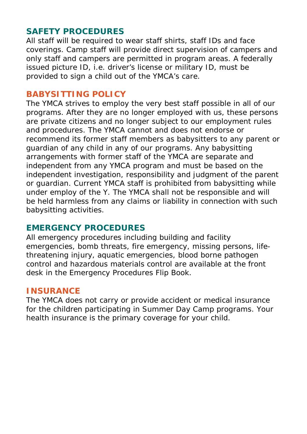#### **SAFETY PROCEDURES**

All staff will be required to wear staff shirts, staff IDs and face coverings. Camp staff will provide direct supervision of campers and only staff and campers are permitted in program areas. A federally issued picture ID, i.e. driver's license or military ID, must be provided to sign a child out of the YMCA's care.

#### **BABYSITTING POLICY**

The YMCA strives to employ the very best staff possible in all of our programs. After they are no longer employed with us, these persons are private citizens and no longer subject to our employment rules and procedures. The YMCA cannot and does not endorse or recommend its former staff members as babysitters to any parent or guardian of any child in any of our programs. Any babysitting arrangements with former staff of the YMCA are separate and independent from any YMCA program and must be based on the independent investigation, responsibility and judgment of the parent or guardian. Current YMCA staff is prohibited from babysitting while under employ of the Y. The YMCA shall not be responsible and will be held harmless from any claims or liability in connection with such babysitting activities.

#### **EMERGENCY PROCEDURES**

All emergency procedures including building and facility emergencies, bomb threats, fire emergency, missing persons, lifethreatening injury, aquatic emergencies, blood borne pathogen control and hazardous materials control are available at the front desk in the Emergency Procedures Flip Book.

#### **INSURANCE**

The YMCA does not carry or provide accident or medical insurance for the children participating in Summer Day Camp programs. Your health insurance is the primary coverage for your child.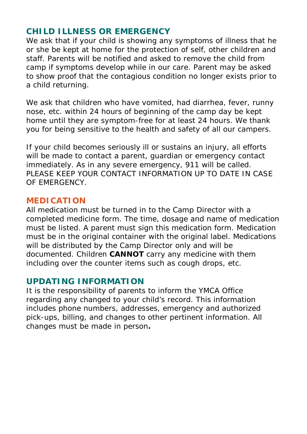#### **CHILD ILLNESS OR EMERGENCY**

We ask that if your child is showing any symptoms of illness that he or she be kept at home for the protection of self, other children and staff. Parents will be notified and asked to remove the child from camp if symptoms develop while in our care. Parent may be asked to show proof that the contagious condition no longer exists prior to a child returning.

We ask that children who have vomited, had diarrhea, fever, runny nose, etc. within 24 hours of beginning of the camp day be kept home until they are symptom-free for at least 24 hours. We thank you for being sensitive to the health and safety of all our campers.

If your child becomes seriously ill or sustains an injury, all efforts will be made to contact a parent, quardian or emergency contact immediately. As in any severe emergency, 911 will be called. PLEASE KEEP YOUR CONTACT INFORMATION UP TO DATE IN CASE OF EMERGENCY.

#### **MEDICATION**

All medication must be turned in to the Camp Director with a completed medicine form. The time, dosage and name of medication must be listed. A parent must sign this medication form. Medication must be in the original container with the original label. Medications will be distributed by the Camp Director only and will be documented. Children **CANNOT** carry any medicine with them including over the counter items such as cough drops, etc.

#### **UPDATING INFORMATION**

It is the responsibility of parents to inform the YMCA Office regarding any changed to your child's record. This information includes phone numbers, addresses, emergency and authorized pick-ups, billing, and changes to other pertinent information. All changes must be made in person**.**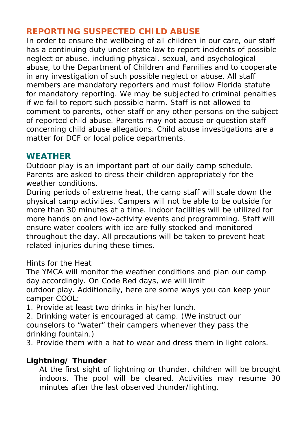#### **REPORTING SUSPECTED CHILD ABUSE**

In order to ensure the wellbeing of all children in our care, our staff has a continuing duty under state law to report incidents of possible neglect or abuse, including physical, sexual, and psychological abuse, to the Department of Children and Families and to cooperate in any investigation of such possible neglect or abuse. All staff members are mandatory reporters and must follow Florida statute for mandatory reporting. We may be subjected to criminal penalties if we fail to report such possible harm. Staff is not allowed to comment to parents, other staff or any other persons on the subject of reported child abuse. Parents may not accuse or question staff concerning child abuse allegations. Child abuse investigations are a matter for DCF or local police departments.

#### **WEATHER**

Outdoor play is an important part of our daily camp schedule. Parents are asked to dress their children appropriately for the weather conditions.

During periods of extreme heat, the camp staff will scale down the physical camp activities. Campers will not be able to be outside for more than 30 minutes at a time. Indoor facilities will be utilized for more hands on and low-activity events and programming. Staff will ensure water coolers with ice are fully stocked and monitored throughout the day. All precautions will be taken to prevent heat related injuries during these times.

#### *Hints for the Heat*

The YMCA will monitor the weather conditions and plan our camp day accordingly. On Code Red days, we will limit outdoor play. Additionally, here are some ways you can keep your camper COOL:

1. Provide at least two drinks in his/her lunch.

2. Drinking water is encouraged at camp. (We instruct our counselors to "water" their campers whenever they pass the drinking fountain.)

3. Provide them with a hat to wear and dress them in light colors.

#### *Lightning/ Thunder*

At the first sight of lightning or thunder, children will be brought indoors. The pool will be cleared. Activities may resume 30 minutes after the last observed thunder/lighting.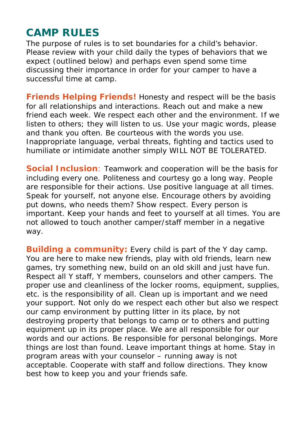## **CAMP RULES**

The purpose of rules is to set boundaries for a child's behavior. Please review with your child daily the types of behaviors that we expect (outlined below) and perhaps even spend some time discussing their importance in order for your camper to have a successful time at camp.

**Friends Helping Friends!** Honesty and respect will be the basis for all relationships and interactions. Reach out and make a new friend each week. We respect each other and the environment. If we listen to others; they will listen to us. Use your magic words, please and thank you often. Be courteous with the words you use. Inappropriate language, verbal threats, fighting and tactics used to humiliate or intimidate another simply WILL NOT BE TOLERATED.

**Social Inclusion**: Teamwork and cooperation will be the basis for including every one. Politeness and courtesy go a long way. People are responsible for their actions. Use positive language at all times. Speak for yourself, not anyone else. Encourage others by avoiding put downs, who needs them? Show respect. Every person is important. Keep your hands and feet to yourself at all times. You are not allowed to touch another camper/staff member in a negative way.

**Building a community:** Every child is part of the Y day camp. You are here to make new friends, play with old friends, learn new games, try something new, build on an old skill and just have fun. Respect all Y staff, Y members, counselors and other campers. The proper use and cleanliness of the locker rooms, equipment, supplies, etc. is the responsibility of all. Clean up is important and we need your support. Not only do we respect each other but also we respect our camp environment by putting litter in its place, by not destroying property that belongs to camp or to others and putting equipment up in its proper place. We are all responsible for our words and our actions. Be responsible for personal belongings. More things are lost than found. Leave important things at home. Stay in program areas with your counselor – running away is not acceptable. Cooperate with staff and follow directions. They know best how to keep you and your friends safe.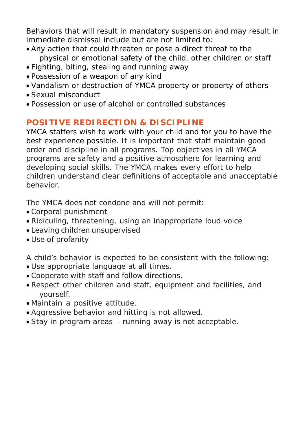Behaviors that will result in mandatory suspension and may result in immediate dismissal include but are not limited to:

- Any action that could threaten or pose a direct threat to the physical or emotional safety of the child, other children or staff
- Fighting, biting, stealing and running away
- Possession of a weapon of any kind
- Vandalism or destruction of YMCA property or property of others
- Sexual misconduct
- Possession or use of alcohol or controlled substances

#### **POSITIVE REDIRECTION & DISCIPLINE**

YMCA staffers wish to work with your child and for you to have the best experience possible. It is important that staff maintain good order and discipline in all programs. Top objectives in all YMCA programs are safety and a positive atmosphere for learning and developing social skills. The YMCA makes every effort to help children understand clear definitions of acceptable and unacceptable behavior.

The YMCA does not condone and will not permit:

- Corporal punishment
- Ridiculing, threatening, using an inappropriate loud voice
- Leaving children unsupervised
- Use of profanity

A child's behavior is expected to be consistent with the following:

- Use appropriate language at all times.
- Cooperate with staff and follow directions.
- Respect other children and staff, equipment and facilities, and yourself.
- Maintain a positive attitude.
- Aggressive behavior and hitting is not allowed.
- Stay in program areas running away is not acceptable.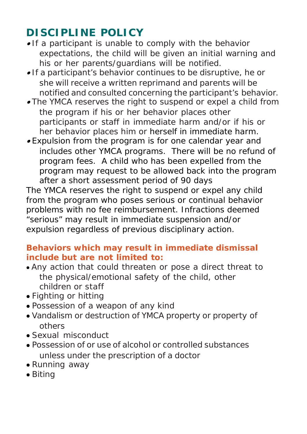## **DISCIPLINE POLICY**

- If a participant is unable to comply with the behavior expectations, the child will be given an initial warning and his or her parents/guardians will be notified.
- If a participant's behavior continues to be disruptive, he or she will receive a written reprimand and parents will be notified and consulted concerning the participant's behavior.
- The YMCA reserves the right to suspend or expel a child from the program if his or her behavior places other participants or staff in immediate harm and/or if his or her behavior places him or herself in immediate harm.
- Expulsion from the program is for one calendar year and includes other YMCA programs. There will be no refund of program fees. A child who has been expelled from the program may request to be allowed back into the program after a short assessment period of 90 days

The YMCA reserves the right to suspend or expel any child from the program who poses serious or continual behavior problems with no fee reimbursement. Infractions deemed "serious" may result in immediate suspension and/or expulsion regardless of previous disciplinary action.

#### **Behaviors which may result in immediate dismissal include but are not limited to:**

- Any action that could threaten or pose a direct threat to the physical/emotional safety of the child, other children or staff
- Fighting or hitting
- Possession of a weapon of any kind
- Vandalism or destruction of YMCA property or property of others
- Sexual misconduct
- Possession of or use of alcohol or controlled substances unless under the prescription of a doctor
- Running away
- Biting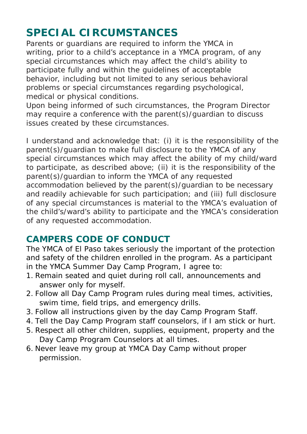## **SPECIAL CIRCUMSTANCES**

Parents or guardians are required to inform the YMCA in writing, prior to a child's acceptance in a YMCA program, of any special circumstances which may affect the child's ability to participate fully and within the guidelines of acceptable behavior, including but not limited to any serious behavioral problems or special circumstances regarding psychological, medical or physical conditions.

Upon being informed of such circumstances, the Program Director may require a conference with the parent(s)/guardian to discuss issues created by these circumstances.

I understand and acknowledge that: (i) it is the responsibility of the parent(s)/guardian to make full disclosure to the YMCA of any special circumstances which may affect the ability of my child/ward to participate, as described above; (ii) it is the responsibility of the parent(s)/guardian to inform the YMCA of any requested accommodation believed by the parent(s)/guardian to be necessary and readily achievable for such participation; and (iii) full disclosure of any special circumstances is material to the YMCA's evaluation of the child's/ward's ability to participate and the YMCA's consideration of any requested accommodation.

### **CAMPERS CODE OF CONDUCT**

The YMCA of El Paso takes seriously the important of the protection and safety of the children enrolled in the program. As a participant in the YMCA Summer Day Camp Program, I agree to:

- 1. Remain seated and quiet during roll call, announcements and answer only for myself.
- 2. Follow all Day Camp Program rules during meal times, activities, swim time, field trips, and emergency drills.
- 3. Follow all instructions given by the day Camp Program Staff.
- 4. Tell the Day Camp Program staff counselors, if I am stick or hurt.
- 5. Respect all other children, supplies, equipment, property and the Day Camp Program Counselors at all times.
- 6. Never leave my group at YMCA Day Camp without proper permission.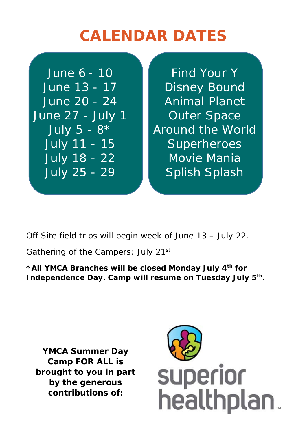# **CALENDAR DATES**

June 27 - July 1 **C** Outer Space

June  $6 - 10$  Find Your Y June 13 - 17 **Disney Bound** June 20 - 24 Animal Planet July  $5 - 8$ <sup>\*</sup> **Around the World** July 11 - 15 **Superheroes** July 18 - 22 Movie Mania July 25 - 29 Splish Splash

Off Site field trips will begin week of June 13 – July 22.

Gathering of the Campers: July 21<sup>st</sup>!

**\*All YMCA Branches will be closed Monday July 4th for Independence Day. Camp will resume on Tuesday July 5th.**

**YMCA Summer Day Camp FOR ALL is brought to you in part by the generous contributions of:**